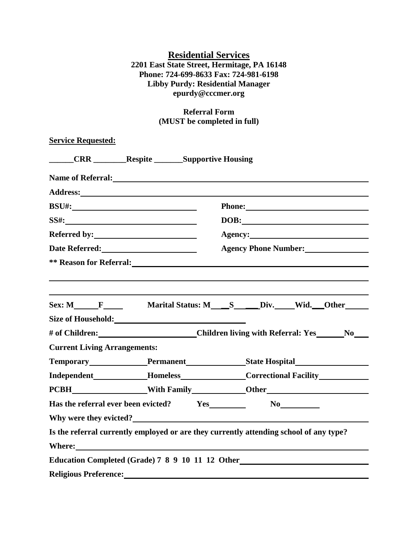## **Residential Services 2201 East State Street, Hermitage, PA 16148 Phone: 724-699-8633 Fax: 724-981-6198 Libby Purdy: Residential Manager epurdy@cccmer.org**

## **Referral Form (MUST be completed in full)**

| <b>Service Requested:</b>             |                                                                                                                                                                                                                                      |                                                                                                                                                                                                                                             |  |  |  |
|---------------------------------------|--------------------------------------------------------------------------------------------------------------------------------------------------------------------------------------------------------------------------------------|---------------------------------------------------------------------------------------------------------------------------------------------------------------------------------------------------------------------------------------------|--|--|--|
| <b>CRR</b> Respite Supportive Housing |                                                                                                                                                                                                                                      |                                                                                                                                                                                                                                             |  |  |  |
|                                       | Name of Referral:                                                                                                                                                                                                                    |                                                                                                                                                                                                                                             |  |  |  |
|                                       |                                                                                                                                                                                                                                      |                                                                                                                                                                                                                                             |  |  |  |
|                                       |                                                                                                                                                                                                                                      |                                                                                                                                                                                                                                             |  |  |  |
|                                       |                                                                                                                                                                                                                                      | DOB:<br>Agency: <u>example</u> and the set of the set of the set of the set of the set of the set of the set of the set of the set of the set of the set of the set of the set of the set of the set of the set of the set of the set of th |  |  |  |
|                                       |                                                                                                                                                                                                                                      |                                                                                                                                                                                                                                             |  |  |  |
|                                       | ** Reason for Referral: <u>and the set of the set of the set of the set of the set of the set of the set of the set of the set of the set of the set of the set of the set of the set of the set of the set of the set of the se</u> |                                                                                                                                                                                                                                             |  |  |  |
|                                       |                                                                                                                                                                                                                                      |                                                                                                                                                                                                                                             |  |  |  |
|                                       |                                                                                                                                                                                                                                      |                                                                                                                                                                                                                                             |  |  |  |
|                                       |                                                                                                                                                                                                                                      |                                                                                                                                                                                                                                             |  |  |  |
|                                       |                                                                                                                                                                                                                                      |                                                                                                                                                                                                                                             |  |  |  |
| <b>Current Living Arrangements:</b>   |                                                                                                                                                                                                                                      |                                                                                                                                                                                                                                             |  |  |  |
|                                       |                                                                                                                                                                                                                                      | Temporary Permanent State Hospital                                                                                                                                                                                                          |  |  |  |
|                                       |                                                                                                                                                                                                                                      | Independent____________Homeless____________Correctional Facility________________                                                                                                                                                            |  |  |  |
|                                       |                                                                                                                                                                                                                                      |                                                                                                                                                                                                                                             |  |  |  |
|                                       |                                                                                                                                                                                                                                      |                                                                                                                                                                                                                                             |  |  |  |
|                                       | Why were they evicted?                                                                                                                                                                                                               |                                                                                                                                                                                                                                             |  |  |  |
|                                       |                                                                                                                                                                                                                                      | Is the referral currently employed or are they currently attending school of any type?                                                                                                                                                      |  |  |  |
|                                       |                                                                                                                                                                                                                                      |                                                                                                                                                                                                                                             |  |  |  |
|                                       | Education Completed (Grade) 7 8 9 10 11 12 Other                                                                                                                                                                                     |                                                                                                                                                                                                                                             |  |  |  |
| <b>Religious Preference:</b>          |                                                                                                                                                                                                                                      |                                                                                                                                                                                                                                             |  |  |  |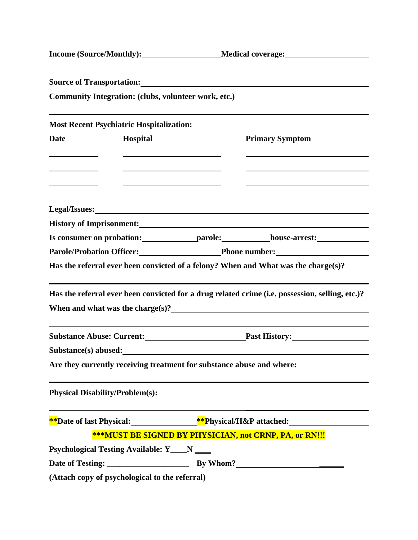|                                                    |                                                                                                                     | <b>Source of Transportation:</b> <u>Constanting</u>                                                                                                                                                                                                                                                                                                                                                                                                                                 |
|----------------------------------------------------|---------------------------------------------------------------------------------------------------------------------|-------------------------------------------------------------------------------------------------------------------------------------------------------------------------------------------------------------------------------------------------------------------------------------------------------------------------------------------------------------------------------------------------------------------------------------------------------------------------------------|
|                                                    | Community Integration: (clubs, volunteer work, etc.)                                                                |                                                                                                                                                                                                                                                                                                                                                                                                                                                                                     |
|                                                    |                                                                                                                     |                                                                                                                                                                                                                                                                                                                                                                                                                                                                                     |
|                                                    | <b>Most Recent Psychiatric Hospitalization:</b>                                                                     |                                                                                                                                                                                                                                                                                                                                                                                                                                                                                     |
| <b>Date</b>                                        | Hospital                                                                                                            | <b>Primary Symptom</b>                                                                                                                                                                                                                                                                                                                                                                                                                                                              |
| the control of the control of the control of       |                                                                                                                     |                                                                                                                                                                                                                                                                                                                                                                                                                                                                                     |
| <u> 1980 - John Stein, Amerikaansk politiker (</u> |                                                                                                                     |                                                                                                                                                                                                                                                                                                                                                                                                                                                                                     |
| <u> 1989 - Johann Barnett, fransk politik (</u>    | <u> 1986 - Andrea Albert III, politik eta politik eta politik eta politik eta politik eta politik eta politik e</u> |                                                                                                                                                                                                                                                                                                                                                                                                                                                                                     |
|                                                    |                                                                                                                     | Legal/Issues: No. 1996. The Contract of the Contract of the Contract of the Contract of the Contract of the Contract of the Contract of the Contract of the Contract of the Contract of the Contract of the Contract of the Co                                                                                                                                                                                                                                                      |
|                                                    |                                                                                                                     | History of Imprisonment: 1997 and 2008 and 2008 and 2008 and 2008 and 2008 and 2008 and 2008 and 2008 and 2008                                                                                                                                                                                                                                                                                                                                                                      |
|                                                    |                                                                                                                     |                                                                                                                                                                                                                                                                                                                                                                                                                                                                                     |
|                                                    |                                                                                                                     | Parole/Probation Officer: Phone number:                                                                                                                                                                                                                                                                                                                                                                                                                                             |
|                                                    |                                                                                                                     | Has the referral ever been convicted of a felony? When and What was the charge(s)?                                                                                                                                                                                                                                                                                                                                                                                                  |
|                                                    |                                                                                                                     | Has the referral ever been convicted for a drug related crime (i.e. possession, selling, etc.)?<br>When and what was the charge(s)? $\qquad \qquad$ $\qquad \qquad$ $\qquad \qquad$ $\qquad \qquad$ $\qquad \qquad$ $\qquad \qquad$ $\qquad \qquad$ $\qquad \qquad$ $\qquad \qquad$ $\qquad \qquad$ $\qquad \qquad$ $\qquad \qquad$ $\qquad \qquad$ $\qquad \qquad$ $\qquad \qquad$ $\qquad \qquad$ $\qquad \qquad$ $\qquad \qquad$ $\qquad \qquad$ $\qquad \qquad$ $\qquad \qquad$ |
|                                                    |                                                                                                                     | Substance Abuse: Current: Past History: Manual Past History:                                                                                                                                                                                                                                                                                                                                                                                                                        |
|                                                    |                                                                                                                     |                                                                                                                                                                                                                                                                                                                                                                                                                                                                                     |
|                                                    |                                                                                                                     | Are they currently receiving treatment for substance abuse and where:                                                                                                                                                                                                                                                                                                                                                                                                               |
|                                                    | <b>Physical Disability/Problem(s):</b>                                                                              |                                                                                                                                                                                                                                                                                                                                                                                                                                                                                     |
|                                                    |                                                                                                                     | **Date of last Physical:_________________**Physical/H&P attached:_______________                                                                                                                                                                                                                                                                                                                                                                                                    |
|                                                    |                                                                                                                     | ***MUST BE SIGNED BY PHYSICIAN, not CRNP, PA, or RN!!!                                                                                                                                                                                                                                                                                                                                                                                                                              |
|                                                    | Psychological Testing Available: Y___N ___                                                                          |                                                                                                                                                                                                                                                                                                                                                                                                                                                                                     |
|                                                    |                                                                                                                     |                                                                                                                                                                                                                                                                                                                                                                                                                                                                                     |
|                                                    | (Attach copy of psychological to the referral)                                                                      |                                                                                                                                                                                                                                                                                                                                                                                                                                                                                     |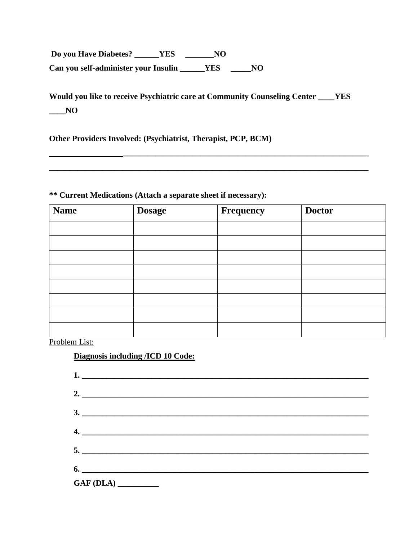**Do you Have Diabetes? \_\_\_\_\_\_YES \_\_\_\_\_\_\_NO Can you self-administer your Insulin \_\_\_\_\_\_YES \_\_\_\_\_NO**

**Would you like to receive Psychiatric care at Community Counseling Center \_\_\_\_YES \_\_\_\_NO**

**Other Providers Involved: (Psychiatrist, Therapist, PCP, BCM)**

## **\*\* Current Medications (Attach a separate sheet if necessary):**

| <b>Name</b> | <b>Dosage</b> | Frequency | <b>Doctor</b> |
|-------------|---------------|-----------|---------------|
|             |               |           |               |
|             |               |           |               |
|             |               |           |               |
|             |               |           |               |
|             |               |           |               |
|             |               |           |               |
|             |               |           |               |
|             |               |           |               |

Problem List:

## **Diagnosis including /ICD 10 Code:**